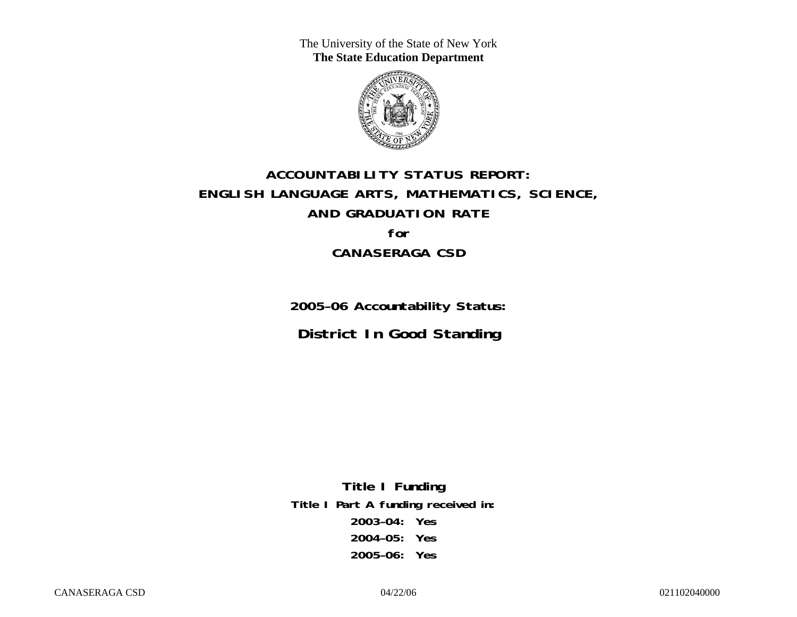The University of the State of New York **The State Education Department** 



# **ACCOUNTABILITY STATUS REPORT: ENGLISH LANGUAGE ARTS, MATHEMATICS, SCIENCE, AND GRADUATION RATE for CANASERAGA CSD**

**2005–06 Accountability Status: District In Good Standing** 

**Title I Funding Title I Part A funding received in: 2003–04: Yes 2004–05: Yes 2005–06: Yes**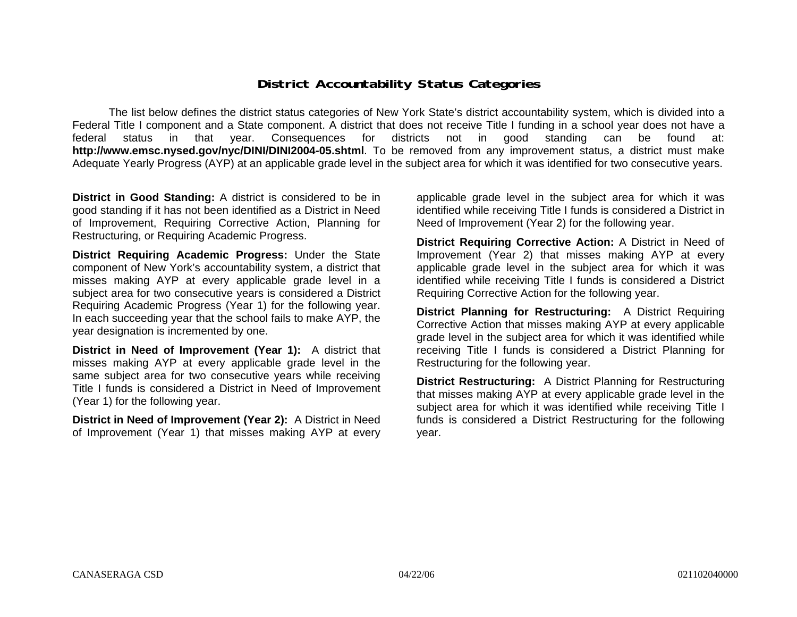### **District Accountability Status Categories**

The list below defines the district status categories of New York State's district accountability system, which is divided into a Federal Title I component and a State component. A district that does not receive Title I funding in a school year does not have a federal status in that year. Consequences for districts not in good standing can be found at: **http://www.emsc.nysed.gov/nyc/DINI/DINI2004-05.shtml**. To be removed from any improvement status, a district must make Adequate Yearly Progress (AYP) at an applicable grade level in the subject area for which it was identified for two consecutive years.

**District in Good Standing:** A district is considered to be in good standing if it has not been identified as a District in Need of Improvement, Requiring Corrective Action, Planning for Restructuring, or Requiring Academic Progress.

**District Requiring Academic Progress:** Under the State component of New York's accountability system, a district that misses making AYP at every applicable grade level in a subject area for two consecutive years is considered a District Requiring Academic Progress (Year 1) for the following year. In each succeeding year that the school fails to make AYP, the year designation is incremented by one.

**District in Need of Improvement (Year 1):** A district that misses making AYP at every applicable grade level in the same subject area for two consecutive years while receiving Title I funds is considered a District in Need of Improvement (Year 1) for the following year.

**District in Need of Improvement (Year 2):** A District in Need of Improvement (Year 1) that misses making AYP at every

applicable grade level in the subject area for which it was identified while receiving Title I funds is considered a District in Need of Improvement (Year 2) for the following year.

**District Requiring Corrective Action:** A District in Need of Improvement (Year 2) that misses making AYP at every applicable grade level in the subject area for which it was identified while receiving Title I funds is considered a District Requiring Corrective Action for the following year.

**District Planning for Restructuring:** A District Requiring Corrective Action that misses making AYP at every applicable grade level in the subject area for which it was identified while receiving Title I funds is considered a District Planning for Restructuring for the following year.

**District Restructuring:** A District Planning for Restructuring that misses making AYP at every applicable grade level in the subject area for which it was identified while receiving Title I funds is considered a District Restructuring for the following year.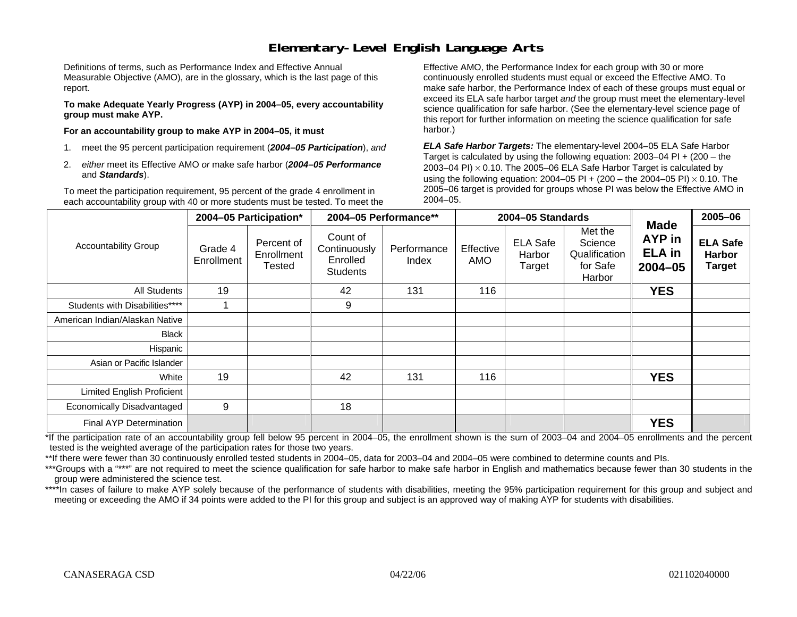### **Elementary-Level English Language Arts**

Definitions of terms, such as Performance Index and Effective Annual Measurable Objective (AMO), are in the glossary, which is the last page of this report.

**To make Adequate Yearly Progress (AYP) in 2004–05, every accountability group must make AYP.** 

**For an accountability group to make AYP in 2004–05, it must** 

- 1. meet the 95 percent participation requirement (*2004–05 Participation*), *and*
- 2. *either* meet its Effective AMO *or* make safe harbor (*2004–05 Performance*  and *Standards*).

To meet the participation requirement, 95 percent of the grade 4 enrollment in each accountability group with 40 or more students must be tested. To meet the

Effective AMO, the Performance Index for each group with 30 or more continuously enrolled students must equal or exceed the Effective AMO. To make safe harbor, the Performance Index of each of these groups must equal or exceed its ELA safe harbor target *and* the group must meet the elementary-level science qualification for safe harbor. (See the elementary-level science page of this report for further information on meeting the science qualification for safe harbor.)

*ELA Safe Harbor Targets:* The elementary-level 2004–05 ELA Safe Harbor Target is calculated by using the following equation: 2003–04 PI + (200 – the 2003–04 PI)  $\times$  0.10. The 2005–06 ELA Safe Harbor Target is calculated by using the following equation: 2004–05 PI + (200 – the 2004–05 PI) × 0.10. The 2005–06 target is provided for groups whose PI was below the Effective AMO in 2004–05.

|                                |                       | 2004-05 Participation*                    | 2004-05 Performance**                                   |                      |                  | 2004-05 Standards                   |                                                           |                                                       | 2005-06                                           |
|--------------------------------|-----------------------|-------------------------------------------|---------------------------------------------------------|----------------------|------------------|-------------------------------------|-----------------------------------------------------------|-------------------------------------------------------|---------------------------------------------------|
| <b>Accountability Group</b>    | Grade 4<br>Enrollment | Percent of<br>Enrollment<br><b>Tested</b> | Count of<br>Continuously<br>Enrolled<br><b>Students</b> | Performance<br>Index | Effective<br>AMO | <b>ELA Safe</b><br>Harbor<br>Target | Met the<br>Science<br>Qualification<br>for Safe<br>Harbor | <b>Made</b><br>AYP in<br><b>ELA</b> in<br>$2004 - 05$ | <b>ELA Safe</b><br><b>Harbor</b><br><b>Target</b> |
| All Students                   | 19                    |                                           | 42                                                      | 131                  | 116              |                                     |                                                           | <b>YES</b>                                            |                                                   |
| Students with Disabilities**** |                       |                                           | 9                                                       |                      |                  |                                     |                                                           |                                                       |                                                   |
| American Indian/Alaskan Native |                       |                                           |                                                         |                      |                  |                                     |                                                           |                                                       |                                                   |
| <b>Black</b>                   |                       |                                           |                                                         |                      |                  |                                     |                                                           |                                                       |                                                   |
| Hispanic                       |                       |                                           |                                                         |                      |                  |                                     |                                                           |                                                       |                                                   |
| Asian or Pacific Islander      |                       |                                           |                                                         |                      |                  |                                     |                                                           |                                                       |                                                   |
| White                          | 19                    |                                           | 42                                                      | 131                  | 116              |                                     |                                                           | <b>YES</b>                                            |                                                   |
| Limited English Proficient     |                       |                                           |                                                         |                      |                  |                                     |                                                           |                                                       |                                                   |
| Economically Disadvantaged     | 9                     |                                           | 18                                                      |                      |                  |                                     |                                                           |                                                       |                                                   |
| Final AYP Determination        |                       |                                           |                                                         |                      |                  |                                     |                                                           | <b>YES</b>                                            |                                                   |

\*If the participation rate of an accountability group fell below 95 percent in 2004–05, the enrollment shown is the sum of 2003–04 and 2004–05 enrollments and the percent tested is the weighted average of the participation rates for those two years.

\*\*If there were fewer than 30 continuously enrolled tested students in 2004–05, data for 2003–04 and 2004–05 were combined to determine counts and PIs.

\*\*\*Groups with a "\*\*\*" are not required to meet the science qualification for safe harbor to make safe harbor in English and mathematics because fewer than 30 students in the group were administered the science test.

\*\*\*\*In cases of failure to make AYP solely because of the performance of students with disabilities, meeting the 95% participation requirement for this group and subject and meeting or exceeding the AMO if 34 points were added to the PI for this group and subject is an approved way of making AYP for students with disabilities.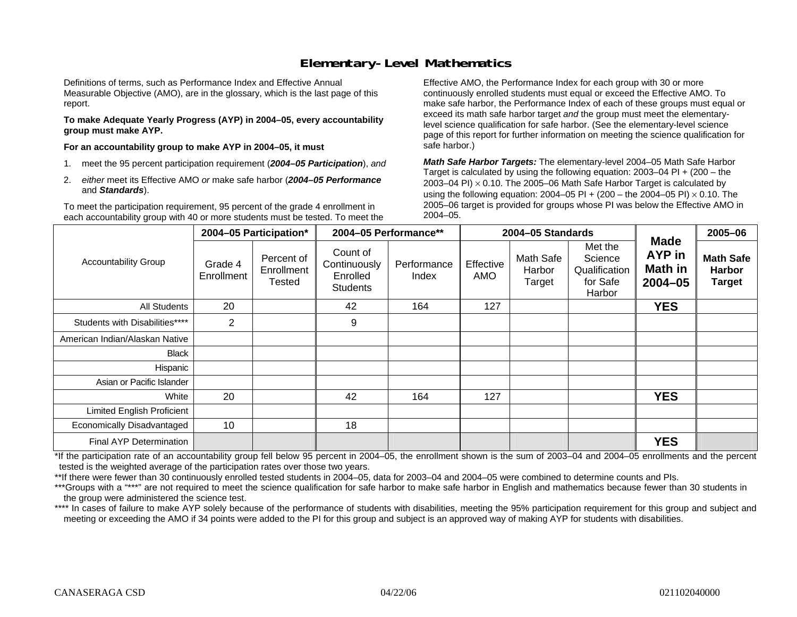### **Elementary-Level Mathematics**

Definitions of terms, such as Performance Index and Effective Annual Measurable Objective (AMO), are in the glossary, which is the last page of this report.

**To make Adequate Yearly Progress (AYP) in 2004–05, every accountability group must make AYP.** 

**For an accountability group to make AYP in 2004–05, it must** 

- 1. meet the 95 percent participation requirement (*2004–05 Participation*), *and*
- 2. *either* meet its Effective AMO *or* make safe harbor (*2004–05 Performance*  and *Standards*).

To meet the participation requirement, 95 percent of the grade 4 enrollment in each accountability group with 40 or more students must be tested. To meet the

Effective AMO, the Performance Index for each group with 30 or more continuously enrolled students must equal or exceed the Effective AMO. To make safe harbor, the Performance Index of each of these groups must equal or exceed its math safe harbor target *and* the group must meet the elementarylevel science qualification for safe harbor. (See the elementary-level science page of this report for further information on meeting the science qualification for safe harbor.)

*Math Safe Harbor Targets:* The elementary-level 2004–05 Math Safe Harbor Target is calculated by using the following equation: 2003–04 PI + (200 – the 2003–04 PI)  $\times$  0.10. The 2005–06 Math Safe Harbor Target is calculated by using the following equation: 2004–05 PI + (200 – the 2004–05 PI) × 0.10. The 2005–06 target is provided for groups whose PI was below the Effective AMO in 2004–05.

|                                   |                       | 2004-05 Participation*             | 2004-05 Performance**                                   |                      |                         | 2004-05 Standards             |                                                           |                                                 | 2005-06                                            |
|-----------------------------------|-----------------------|------------------------------------|---------------------------------------------------------|----------------------|-------------------------|-------------------------------|-----------------------------------------------------------|-------------------------------------------------|----------------------------------------------------|
| <b>Accountability Group</b>       | Grade 4<br>Enrollment | Percent of<br>Enrollment<br>Tested | Count of<br>Continuously<br>Enrolled<br><b>Students</b> | Performance<br>Index | Effective<br><b>AMO</b> | Math Safe<br>Harbor<br>Target | Met the<br>Science<br>Qualification<br>for Safe<br>Harbor | <b>Made</b><br>AYP in<br>Math in<br>$2004 - 05$ | <b>Math Safe</b><br><b>Harbor</b><br><b>Target</b> |
| <b>All Students</b>               | 20                    |                                    | 42                                                      | 164                  | 127                     |                               |                                                           | <b>YES</b>                                      |                                                    |
| Students with Disabilities****    | 2                     |                                    | 9                                                       |                      |                         |                               |                                                           |                                                 |                                                    |
| American Indian/Alaskan Native    |                       |                                    |                                                         |                      |                         |                               |                                                           |                                                 |                                                    |
| <b>Black</b>                      |                       |                                    |                                                         |                      |                         |                               |                                                           |                                                 |                                                    |
| Hispanic                          |                       |                                    |                                                         |                      |                         |                               |                                                           |                                                 |                                                    |
| Asian or Pacific Islander         |                       |                                    |                                                         |                      |                         |                               |                                                           |                                                 |                                                    |
| White                             | 20                    |                                    | 42                                                      | 164                  | 127                     |                               |                                                           | <b>YES</b>                                      |                                                    |
| <b>Limited English Proficient</b> |                       |                                    |                                                         |                      |                         |                               |                                                           |                                                 |                                                    |
| Economically Disadvantaged        | 10                    |                                    | 18                                                      |                      |                         |                               |                                                           |                                                 |                                                    |
| <b>Final AYP Determination</b>    |                       |                                    |                                                         |                      |                         |                               |                                                           | <b>YES</b>                                      |                                                    |

\*If the participation rate of an accountability group fell below 95 percent in 2004–05, the enrollment shown is the sum of 2003–04 and 2004–05 enrollments and the percent tested is the weighted average of the participation rates over those two years.

\*\*If there were fewer than 30 continuously enrolled tested students in 2004–05, data for 2003–04 and 2004–05 were combined to determine counts and PIs.

\*\*\*Groups with a "\*\*\*" are not required to meet the science qualification for safe harbor to make safe harbor in English and mathematics because fewer than 30 students in the group were administered the science test.

\*\*\*\* In cases of failure to make AYP solely because of the performance of students with disabilities, meeting the 95% participation requirement for this group and subject and meeting or exceeding the AMO if 34 points were added to the PI for this group and subject is an approved way of making AYP for students with disabilities.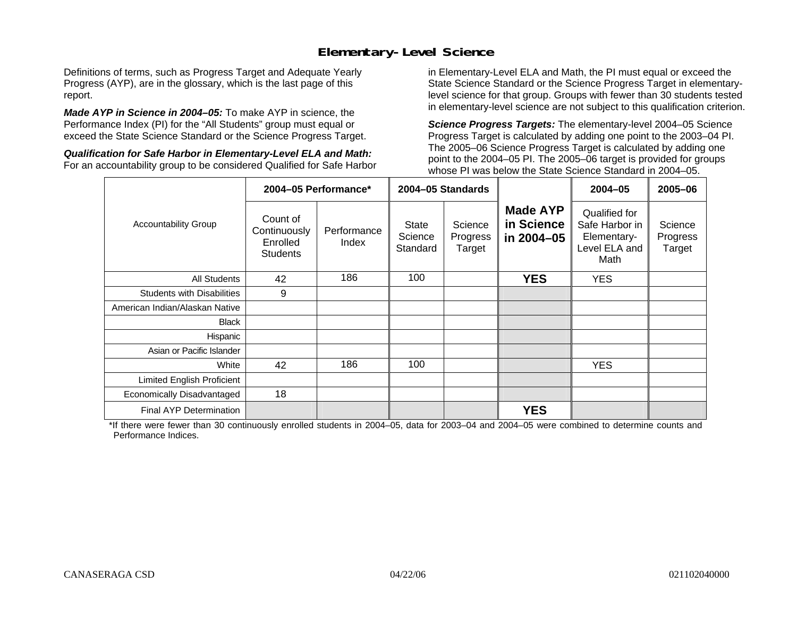### **Elementary-Level Science**

Definitions of terms, such as Progress Target and Adequate Yearly Progress (AYP), are in the glossary, which is the last page of this report.

*Made AYP in Science in 2004–05:* To make AYP in science, the Performance Index (PI) for the "All Students" group must equal or exceed the State Science Standard or the Science Progress Target.

*Qualification for Safe Harbor in Elementary-Level ELA and Math:* For an accountability group to be considered Qualified for Safe Harbor in Elementary-Level ELA and Math, the PI must equal or exceed the State Science Standard or the Science Progress Target in elementarylevel science for that group. Groups with fewer than 30 students tested in elementary-level science are not subject to this qualification criterion.

*Science Progress Targets:* The elementary-level 2004–05 Science Progress Target is calculated by adding one point to the 2003–04 PI. The 2005–06 Science Progress Target is calculated by adding one point to the 2004–05 PI. The 2005–06 target is provided for groups whose PI was below the State Science Standard in 2004–05.

|                                   |                                                         | 2004-05 Performance* | 2004-05 Standards                   |                               |                                             | $2004 - 05$                                                             | 2005-06                       |
|-----------------------------------|---------------------------------------------------------|----------------------|-------------------------------------|-------------------------------|---------------------------------------------|-------------------------------------------------------------------------|-------------------------------|
| <b>Accountability Group</b>       | Count of<br>Continuously<br>Enrolled<br><b>Students</b> | Performance<br>Index | <b>State</b><br>Science<br>Standard | Science<br>Progress<br>Target | <b>Made AYP</b><br>in Science<br>in 2004-05 | Qualified for<br>Safe Harbor in<br>Elementary-<br>Level ELA and<br>Math | Science<br>Progress<br>Target |
| <b>All Students</b>               | 42                                                      | 186                  | 100                                 |                               | <b>YES</b>                                  | <b>YES</b>                                                              |                               |
| <b>Students with Disabilities</b> | 9                                                       |                      |                                     |                               |                                             |                                                                         |                               |
| American Indian/Alaskan Native    |                                                         |                      |                                     |                               |                                             |                                                                         |                               |
| <b>Black</b>                      |                                                         |                      |                                     |                               |                                             |                                                                         |                               |
| Hispanic                          |                                                         |                      |                                     |                               |                                             |                                                                         |                               |
| Asian or Pacific Islander         |                                                         |                      |                                     |                               |                                             |                                                                         |                               |
| White                             | 42                                                      | 186                  | 100                                 |                               |                                             | <b>YES</b>                                                              |                               |
| Limited English Proficient        |                                                         |                      |                                     |                               |                                             |                                                                         |                               |
| Economically Disadvantaged        | 18                                                      |                      |                                     |                               |                                             |                                                                         |                               |
| <b>Final AYP Determination</b>    |                                                         |                      |                                     |                               | <b>YES</b>                                  |                                                                         |                               |

\*If there were fewer than 30 continuously enrolled students in 2004–05, data for 2003–04 and 2004–05 were combined to determine counts and Performance Indices.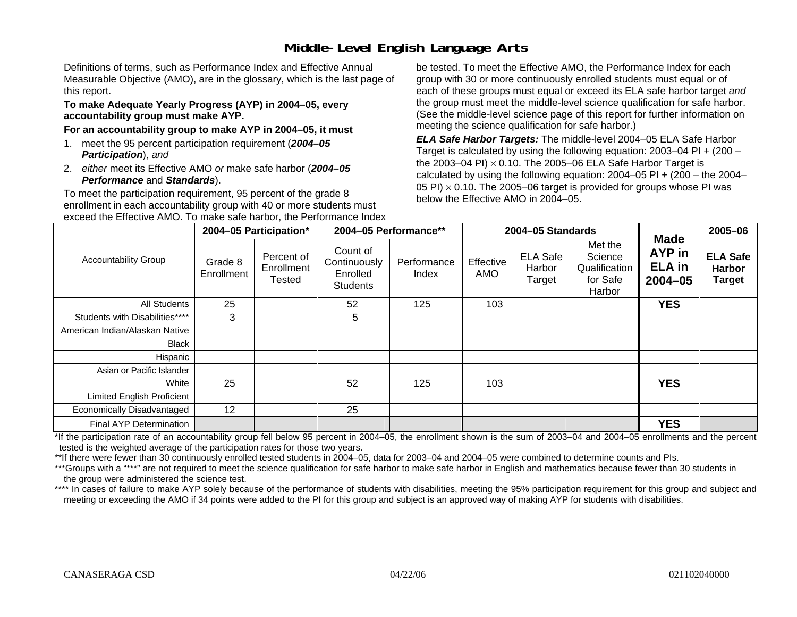# **Middle-Level English Language Arts**

Definitions of terms, such as Performance Index and Effective Annual Measurable Objective (AMO), are in the glossary, which is the last page of this report.

#### **To make Adequate Yearly Progress (AYP) in 2004–05, every accountability group must make AYP.**

#### **For an accountability group to make AYP in 2004–05, it must**

- 1. meet the 95 percent participation requirement (*2004–05 Participation*), *and*
- 2. *either* meet its Effective AMO *or* make safe harbor (*2004–05 Performance* and *Standards*).

To meet the participation requirement, 95 percent of the grade 8 enrollment in each accountability group with 40 or more students must exceed the Effective AMO. To make safe harbor, the Performance Index

be tested. To meet the Effective AMO, the Performance Index for each group with 30 or more continuously enrolled students must equal or of each of these groups must equal or exceed its ELA safe harbor target *and* the group must meet the middle-level science qualification for safe harbor. (See the middle-level science page of this report for further information on meeting the science qualification for safe harbor.)

*ELA Safe Harbor Targets:* The middle-level 2004–05 ELA Safe Harbor Target is calculated by using the following equation: 2003–04 PI + (200 – the 2003–04 PI) <sup>×</sup> 0.10. The 2005–06 ELA Safe Harbor Target is calculated by using the following equation:  $2004-05$  PI +  $(200 -$  the  $2004-$ 05 PI)  $\times$  0.10. The 2005–06 target is provided for groups whose PI was below the Effective AMO in 2004–05.

|                                |                       | 2004-05 Participation*                    |                                                         | 2004-05 Performance** |                  | 2004-05 Standards                   |                                                           |                                                       | 2005-06                                           |
|--------------------------------|-----------------------|-------------------------------------------|---------------------------------------------------------|-----------------------|------------------|-------------------------------------|-----------------------------------------------------------|-------------------------------------------------------|---------------------------------------------------|
| <b>Accountability Group</b>    | Grade 8<br>Enrollment | Percent of<br>Enrollment<br><b>Tested</b> | Count of<br>Continuously<br>Enrolled<br><b>Students</b> | Performance<br>Index  | Effective<br>AMO | <b>ELA Safe</b><br>Harbor<br>Target | Met the<br>Science<br>Qualification<br>for Safe<br>Harbor | <b>Made</b><br>AYP in<br><b>ELA</b> in<br>$2004 - 05$ | <b>ELA Safe</b><br><b>Harbor</b><br><b>Target</b> |
| All Students                   | 25                    |                                           | 52                                                      | 125                   | 103              |                                     |                                                           | <b>YES</b>                                            |                                                   |
| Students with Disabilities**** | 3                     |                                           | 5                                                       |                       |                  |                                     |                                                           |                                                       |                                                   |
| American Indian/Alaskan Native |                       |                                           |                                                         |                       |                  |                                     |                                                           |                                                       |                                                   |
| <b>Black</b>                   |                       |                                           |                                                         |                       |                  |                                     |                                                           |                                                       |                                                   |
| Hispanic                       |                       |                                           |                                                         |                       |                  |                                     |                                                           |                                                       |                                                   |
| Asian or Pacific Islander      |                       |                                           |                                                         |                       |                  |                                     |                                                           |                                                       |                                                   |
| White                          | 25                    |                                           | 52                                                      | 125                   | 103              |                                     |                                                           | <b>YES</b>                                            |                                                   |
| Limited English Proficient     |                       |                                           |                                                         |                       |                  |                                     |                                                           |                                                       |                                                   |
| Economically Disadvantaged     | 12                    |                                           | 25                                                      |                       |                  |                                     |                                                           |                                                       |                                                   |
| Final AYP Determination        |                       |                                           |                                                         |                       |                  |                                     |                                                           | <b>YES</b>                                            |                                                   |

\*If the participation rate of an accountability group fell below 95 percent in 2004–05, the enrollment shown is the sum of 2003–04 and 2004–05 enrollments and the percent tested is the weighted average of the participation rates for those two years.

\*\*If there were fewer than 30 continuously enrolled tested students in 2004–05, data for 2003–04 and 2004–05 were combined to determine counts and PIs.

\*\*\*Groups with a "\*\*\*" are not required to meet the science qualification for safe harbor to make safe harbor in English and mathematics because fewer than 30 students in the group were administered the science test.

\*\*\*\* In cases of failure to make AYP solely because of the performance of students with disabilities, meeting the 95% participation requirement for this group and subject and meeting or exceeding the AMO if 34 points were added to the PI for this group and subject is an approved way of making AYP for students with disabilities.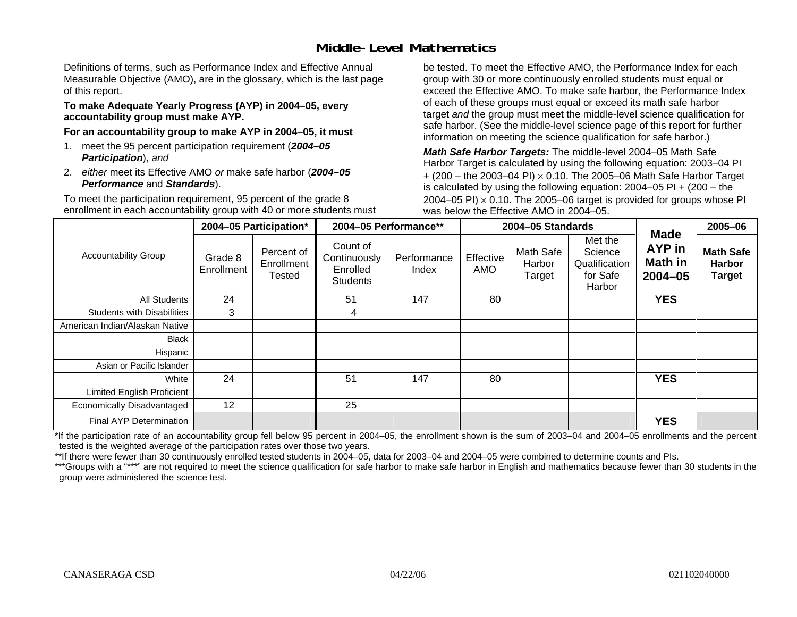### **Middle-Level Mathematics**

Definitions of terms, such as Performance Index and Effective Annual Measurable Objective (AMO), are in the glossary, which is the last page of this report.

#### **To make Adequate Yearly Progress (AYP) in 2004–05, every accountability group must make AYP.**

**For an accountability group to make AYP in 2004–05, it must** 

- 1. meet the 95 percent participation requirement (*2004–05 Participation*), *and*
- 2. *either* meet its Effective AMO *or* make safe harbor (*2004–05 Performance* and *Standards*).

To meet the participation requirement, 95 percent of the grade 8 enrollment in each accountability group with 40 or more students must be tested. To meet the Effective AMO, the Performance Index for each group with 30 or more continuously enrolled students must equal or exceed the Effective AMO. To make safe harbor, the Performance Index of each of these groups must equal or exceed its math safe harbor target *and* the group must meet the middle-level science qualification for safe harbor. (See the middle-level science page of this report for further information on meeting the science qualification for safe harbor.)

*Math Safe Harbor Targets:* The middle-level 2004–05 Math Safe Harbor Target is calculated by using the following equation: 2003–04 PI + (200 – the 2003–04 PI) <sup>×</sup> 0.10. The 2005–06 Math Safe Harbor Target is calculated by using the following equation: 2004–05 PI + (200 – the 2004–05 PI)  $\times$  0.10. The 2005–06 target is provided for groups whose PI was below the Effective AMO in 2004–05.

|                                   |                       | 2004-05 Participation*                    |                                                         | 2004-05 Performance** |                  | 2004-05 Standards             |                                                           |                                                               | 2005-06                                            |
|-----------------------------------|-----------------------|-------------------------------------------|---------------------------------------------------------|-----------------------|------------------|-------------------------------|-----------------------------------------------------------|---------------------------------------------------------------|----------------------------------------------------|
| <b>Accountability Group</b>       | Grade 8<br>Enrollment | Percent of<br>Enrollment<br><b>Tested</b> | Count of<br>Continuously<br>Enrolled<br><b>Students</b> | Performance<br>Index  | Effective<br>AMO | Math Safe<br>Harbor<br>Target | Met the<br>Science<br>Qualification<br>for Safe<br>Harbor | <b>Made</b><br><b>AYP</b> in<br><b>Math in</b><br>$2004 - 05$ | <b>Math Safe</b><br><b>Harbor</b><br><b>Target</b> |
| All Students                      | 24                    |                                           | 51                                                      | 147                   | 80               |                               |                                                           | <b>YES</b>                                                    |                                                    |
| <b>Students with Disabilities</b> | 3                     |                                           | 4                                                       |                       |                  |                               |                                                           |                                                               |                                                    |
| American Indian/Alaskan Native    |                       |                                           |                                                         |                       |                  |                               |                                                           |                                                               |                                                    |
| Black                             |                       |                                           |                                                         |                       |                  |                               |                                                           |                                                               |                                                    |
| Hispanic                          |                       |                                           |                                                         |                       |                  |                               |                                                           |                                                               |                                                    |
| Asian or Pacific Islander         |                       |                                           |                                                         |                       |                  |                               |                                                           |                                                               |                                                    |
| White                             | 24                    |                                           | 51                                                      | 147                   | 80               |                               |                                                           | <b>YES</b>                                                    |                                                    |
| Limited English Proficient        |                       |                                           |                                                         |                       |                  |                               |                                                           |                                                               |                                                    |
| Economically Disadvantaged        | 12                    |                                           | 25                                                      |                       |                  |                               |                                                           |                                                               |                                                    |
| <b>Final AYP Determination</b>    |                       |                                           |                                                         |                       |                  |                               |                                                           | <b>YES</b>                                                    |                                                    |

\*If the participation rate of an accountability group fell below 95 percent in 2004–05, the enrollment shown is the sum of 2003–04 and 2004–05 enrollments and the percent tested is the weighted average of the participation rates over those two years.

\*\*If there were fewer than 30 continuously enrolled tested students in 2004–05, data for 2003–04 and 2004–05 were combined to determine counts and PIs.

\*\*\*Groups with a "\*\*\*" are not required to meet the science qualification for safe harbor to make safe harbor in English and mathematics because fewer than 30 students in the group were administered the science test.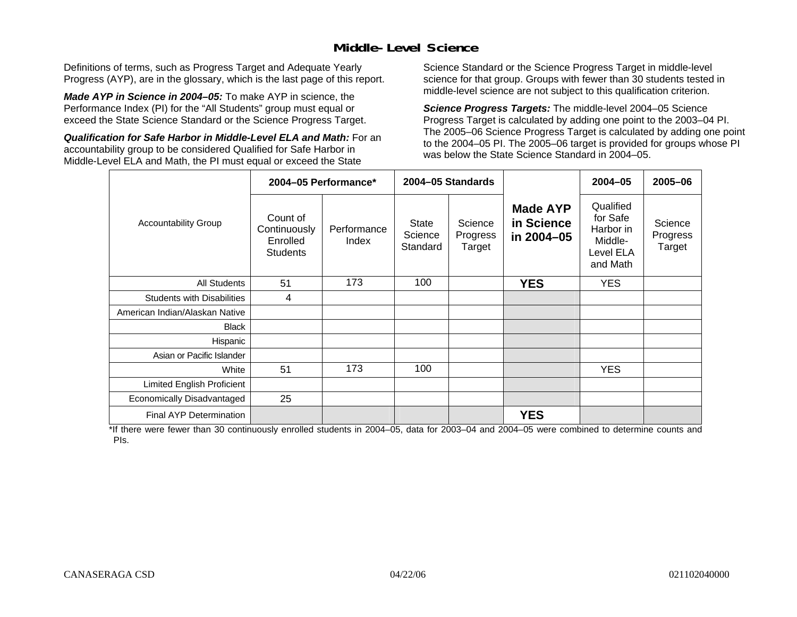### **Middle-Level Science**

Definitions of terms, such as Progress Target and Adequate Yearly Progress (AYP), are in the glossary, which is the last page of this report.

*Made AYP in Science in 2004–05:* To make AYP in science, the Performance Index (PI) for the "All Students" group must equal or exceed the State Science Standard or the Science Progress Target.

*Qualification for Safe Harbor in Middle-Level ELA and Math:* For an accountability group to be considered Qualified for Safe Harbor in Middle-Level ELA and Math, the PI must equal or exceed the State

Science Standard or the Science Progress Target in middle-level science for that group. Groups with fewer than 30 students tested in middle-level science are not subject to this qualification criterion.

*Science Progress Targets:* The middle-level 2004–05 Science Progress Target is calculated by adding one point to the 2003–04 PI. The 2005–06 Science Progress Target is calculated by adding one point to the 2004–05 PI. The 2005–06 target is provided for groups whose PI was below the State Science Standard in 2004–05.

|                                   |                                                         | 2004-05 Performance* |                                     | 2004-05 Standards             |                                             | $2004 - 05$                                                            | 2005-06                       |
|-----------------------------------|---------------------------------------------------------|----------------------|-------------------------------------|-------------------------------|---------------------------------------------|------------------------------------------------------------------------|-------------------------------|
| <b>Accountability Group</b>       | Count of<br>Continuously<br>Enrolled<br><b>Students</b> | Performance<br>Index | <b>State</b><br>Science<br>Standard | Science<br>Progress<br>Target | <b>Made AYP</b><br>in Science<br>in 2004-05 | Qualified<br>for Safe<br>Harbor in<br>Middle-<br>Level ELA<br>and Math | Science<br>Progress<br>Target |
| <b>All Students</b>               | 51                                                      | 173                  | 100                                 |                               | <b>YES</b>                                  | <b>YES</b>                                                             |                               |
| <b>Students with Disabilities</b> | 4                                                       |                      |                                     |                               |                                             |                                                                        |                               |
| American Indian/Alaskan Native    |                                                         |                      |                                     |                               |                                             |                                                                        |                               |
| <b>Black</b>                      |                                                         |                      |                                     |                               |                                             |                                                                        |                               |
| Hispanic                          |                                                         |                      |                                     |                               |                                             |                                                                        |                               |
| Asian or Pacific Islander         |                                                         |                      |                                     |                               |                                             |                                                                        |                               |
| White                             | 51                                                      | 173                  | 100                                 |                               |                                             | <b>YES</b>                                                             |                               |
| Limited English Proficient        |                                                         |                      |                                     |                               |                                             |                                                                        |                               |
| Economically Disadvantaged        | 25                                                      |                      |                                     |                               |                                             |                                                                        |                               |
| <b>Final AYP Determination</b>    |                                                         |                      |                                     |                               | <b>YES</b>                                  |                                                                        |                               |

\*If there were fewer than 30 continuously enrolled students in 2004–05, data for 2003–04 and 2004–05 were combined to determine counts and PIs.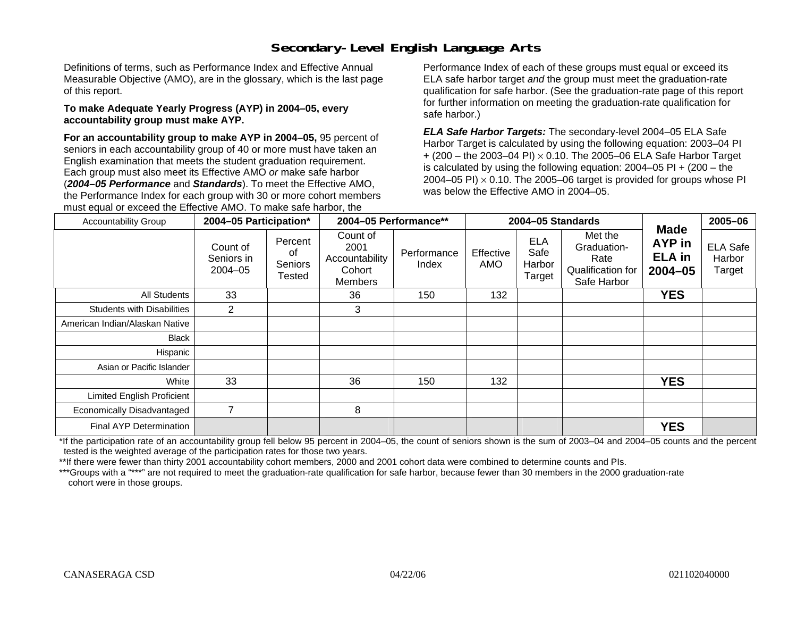# **Secondary-Level English Language Arts**

Definitions of terms, such as Performance Index and Effective Annual Measurable Objective (AMO), are in the glossary, which is the last page of this report.

#### **To make Adequate Yearly Progress (AYP) in 2004–05, every accountability group must make AYP.**

**For an accountability group to make AYP in 2004–05,** 95 percent of seniors in each accountability group of 40 or more must have taken an English examination that meets the student graduation requirement. Each group must also meet its Effective AMO *or* make safe harbor (*2004–05 Performance* and *Standards*). To meet the Effective AMO, the Performance Index for each group with 30 or more cohort members must equal or exceed the Effective AMO. To make safe harbor, the

Performance Index of each of these groups must equal or exceed its ELA safe harbor target *and* the group must meet the graduation-rate qualification for safe harbor. (See the graduation-rate page of this report for further information on meeting the graduation-rate qualification for safe harbor.)

*ELA Safe Harbor Targets:* The secondary-level 2004–05 ELA Safe Harbor Target is calculated by using the following equation: 2003–04 PI + (200 – the 2003–04 PI) <sup>×</sup> 0.10. The 2005–06 ELA Safe Harbor Target is calculated by using the following equation:  $2004-05$  PI  $+$  (200 – the 2004–05 PI)  $\times$  0.10. The 2005–06 target is provided for groups whose PI was below the Effective AMO in 2004–05.

| <b>Accountability Group</b>       |                                       | 2004-05 Performance**<br>2004-05 Participation*<br>2004-05 Standards |                                                         | <b>Made</b>          | 2005-06          |                                        |                                                                    |                                    |                                     |
|-----------------------------------|---------------------------------------|----------------------------------------------------------------------|---------------------------------------------------------|----------------------|------------------|----------------------------------------|--------------------------------------------------------------------|------------------------------------|-------------------------------------|
|                                   | Count of<br>Seniors in<br>$2004 - 05$ | Percent<br>of<br>Seniors<br>Tested                                   | Count of<br>2001<br>Accountability<br>Cohort<br>Members | Performance<br>Index | Effective<br>AMO | <b>ELA</b><br>Safe<br>Harbor<br>Target | Met the<br>Graduation-<br>Rate<br>Qualification for<br>Safe Harbor | AYP in<br><b>ELA</b> in<br>2004-05 | <b>ELA Safe</b><br>Harbor<br>Target |
| All Students                      | 33                                    |                                                                      | 36                                                      | 150                  | 132              |                                        |                                                                    | <b>YES</b>                         |                                     |
| <b>Students with Disabilities</b> | 2                                     |                                                                      | 3                                                       |                      |                  |                                        |                                                                    |                                    |                                     |
| American Indian/Alaskan Native    |                                       |                                                                      |                                                         |                      |                  |                                        |                                                                    |                                    |                                     |
| <b>Black</b>                      |                                       |                                                                      |                                                         |                      |                  |                                        |                                                                    |                                    |                                     |
| Hispanic                          |                                       |                                                                      |                                                         |                      |                  |                                        |                                                                    |                                    |                                     |
| Asian or Pacific Islander         |                                       |                                                                      |                                                         |                      |                  |                                        |                                                                    |                                    |                                     |
| White                             | 33                                    |                                                                      | 36                                                      | 150                  | 132              |                                        |                                                                    | <b>YES</b>                         |                                     |
| Limited English Proficient        |                                       |                                                                      |                                                         |                      |                  |                                        |                                                                    |                                    |                                     |
| Economically Disadvantaged        | $\overline{7}$                        |                                                                      | 8                                                       |                      |                  |                                        |                                                                    |                                    |                                     |
| Final AYP Determination           |                                       |                                                                      |                                                         |                      |                  |                                        |                                                                    | <b>YES</b>                         |                                     |

\*If the participation rate of an accountability group fell below 95 percent in 2004–05, the count of seniors shown is the sum of 2003–04 and 2004–05 counts and the percent tested is the weighted average of the participation rates for those two years.

\*\*If there were fewer than thirty 2001 accountability cohort members, 2000 and 2001 cohort data were combined to determine counts and PIs.

\*\*\*Groups with a "\*\*\*" are not required to meet the graduation-rate qualification for safe harbor, because fewer than 30 members in the 2000 graduation-rate cohort were in those groups.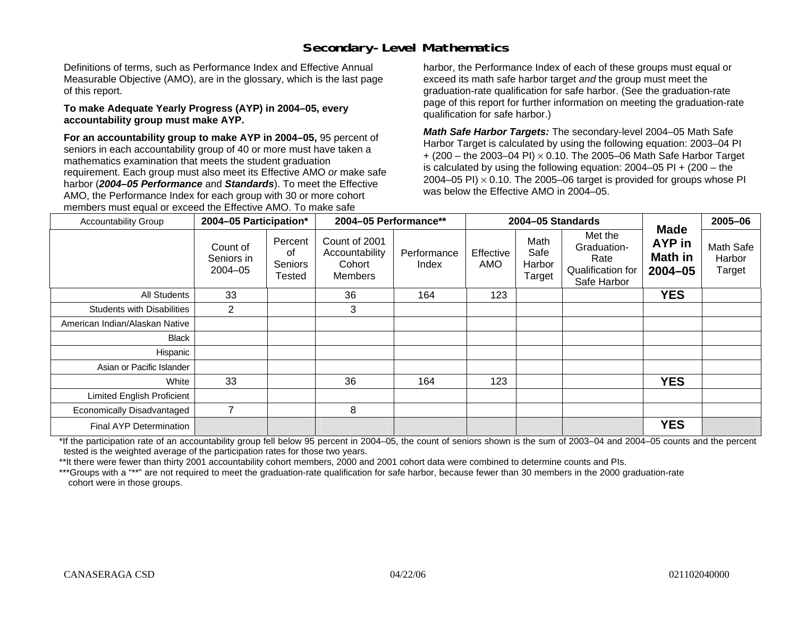# **Secondary-Level Mathematics**

Definitions of terms, such as Performance Index and Effective Annual Measurable Objective (AMO), are in the glossary, which is the last page of this report.

#### **To make Adequate Yearly Progress (AYP) in 2004–05, every accountability group must make AYP.**

**For an accountability group to make AYP in 2004–05,** 95 percent of seniors in each accountability group of 40 or more must have taken a mathematics examination that meets the student graduation requirement. Each group must also meet its Effective AMO *or* make safe harbor (*2004–05 Performance* and *Standards*). To meet the Effective AMO, the Performance Index for each group with 30 or more cohort members must equal or exceed the Effective AMO. To make safe

harbor, the Performance Index of each of these groups must equal or exceed its math safe harbor target *and* the group must meet the graduation-rate qualification for safe harbor. (See the graduation-rate page of this report for further information on meeting the graduation-rate qualification for safe harbor.)

*Math Safe Harbor Targets:* The secondary-level 2004–05 Math Safe Harbor Target is calculated by using the following equation: 2003–04 PI + (200 – the 2003–04 PI) <sup>×</sup> 0.10. The 2005–06 Math Safe Harbor Target is calculated by using the following equation:  $2004-05$  PI  $+$  (200 – the 2004–05 PI)  $\times$  0.10. The 2005–06 target is provided for groups whose PI was below the Effective AMO in 2004–05.

| <b>Accountability Group</b>       | 2004-05 Participation*                |                                           | 2004-05 Performance**                                       |                      | 2004-05 Standards |                                  |                                                                    | Made                             | 2005-06                       |
|-----------------------------------|---------------------------------------|-------------------------------------------|-------------------------------------------------------------|----------------------|-------------------|----------------------------------|--------------------------------------------------------------------|----------------------------------|-------------------------------|
|                                   | Count of<br>Seniors in<br>$2004 - 05$ | Percent<br>οf<br><b>Seniors</b><br>Tested | Count of 2001<br>Accountability<br>Cohort<br><b>Members</b> | Performance<br>Index | Effective<br>AMO  | Math<br>Safe<br>Harbor<br>Target | Met the<br>Graduation-<br>Rate<br>Qualification for<br>Safe Harbor | AYP in<br>Math in<br>$2004 - 05$ | Math Safe<br>Harbor<br>Target |
| All Students                      | 33                                    |                                           | 36                                                          | 164                  | 123               |                                  |                                                                    | <b>YES</b>                       |                               |
| <b>Students with Disabilities</b> | $\overline{2}$                        |                                           | 3                                                           |                      |                   |                                  |                                                                    |                                  |                               |
| American Indian/Alaskan Native    |                                       |                                           |                                                             |                      |                   |                                  |                                                                    |                                  |                               |
| Black                             |                                       |                                           |                                                             |                      |                   |                                  |                                                                    |                                  |                               |
| Hispanic                          |                                       |                                           |                                                             |                      |                   |                                  |                                                                    |                                  |                               |
| Asian or Pacific Islander         |                                       |                                           |                                                             |                      |                   |                                  |                                                                    |                                  |                               |
| White                             | 33                                    |                                           | 36                                                          | 164                  | 123               |                                  |                                                                    | <b>YES</b>                       |                               |
| <b>Limited English Proficient</b> |                                       |                                           |                                                             |                      |                   |                                  |                                                                    |                                  |                               |
| Economically Disadvantaged        | $\overline{7}$                        |                                           | 8                                                           |                      |                   |                                  |                                                                    |                                  |                               |
| Final AYP Determination           |                                       |                                           |                                                             |                      |                   |                                  |                                                                    | <b>YES</b>                       |                               |

\*If the participation rate of an accountability group fell below 95 percent in 2004–05, the count of seniors shown is the sum of 2003–04 and 2004–05 counts and the percent tested is the weighted average of the participation rates for those two years.

\*\*It there were fewer than thirty 2001 accountability cohort members, 2000 and 2001 cohort data were combined to determine counts and PIs.

\*\*\*Groups with a "\*\*" are not required to meet the graduation-rate qualification for safe harbor, because fewer than 30 members in the 2000 graduation-rate cohort were in those groups.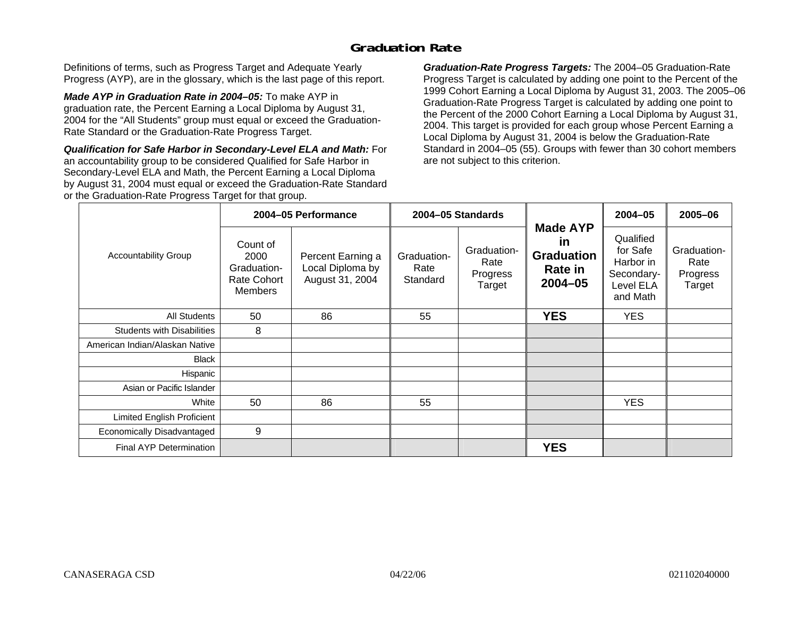### **Graduation Rate**

Definitions of terms, such as Progress Target and Adequate Yearly Progress (AYP), are in the glossary, which is the last page of this report.

*Made AYP in Graduation Rate in 2004–05:* To make AYP in graduation rate, the Percent Earning a Local Diploma by August 31, 2004 for the "All Students" group must equal or exceed the Graduation-Rate Standard or the Graduation-Rate Progress Target.

*Qualification for Safe Harbor in Secondary-Level ELA and Math:* For an accountability group to be considered Qualified for Safe Harbor in Secondary-Level ELA and Math, the Percent Earning a Local Diploma by August 31, 2004 must equal or exceed the Graduation-Rate Standard or the Graduation-Rate Progress Target for that group.

*Graduation-Rate Progress Targets:* The 2004–05 Graduation-Rate Progress Target is calculated by adding one point to the Percent of the 1999 Cohort Earning a Local Diploma by August 31, 2003. The 2005–06 Graduation-Rate Progress Target is calculated by adding one point to the Percent of the 2000 Cohort Earning a Local Diploma by August 31, 2004. This target is provided for each group whose Percent Earning a Local Diploma by August 31, 2004 is below the Graduation-Rate Standard in 2004–05 (55). Groups with fewer than 30 cohort members are not subject to this criterion.

|                                   |                                                                  | 2004-05 Performance                                      |                                 | 2004-05 Standards                         |                                                                             | $2004 - 05$                                                               | 2005-06                                   |
|-----------------------------------|------------------------------------------------------------------|----------------------------------------------------------|---------------------------------|-------------------------------------------|-----------------------------------------------------------------------------|---------------------------------------------------------------------------|-------------------------------------------|
| <b>Accountability Group</b>       | Count of<br>2000<br>Graduation-<br>Rate Cohort<br><b>Members</b> | Percent Earning a<br>Local Diploma by<br>August 31, 2004 | Graduation-<br>Rate<br>Standard | Graduation-<br>Rate<br>Progress<br>Target | <b>Made AYP</b><br><u>in</u><br><b>Graduation</b><br>Rate in<br>$2004 - 05$ | Qualified<br>for Safe<br>Harbor in<br>Secondary-<br>Level ELA<br>and Math | Graduation-<br>Rate<br>Progress<br>Target |
| All Students                      | 50                                                               | 86                                                       | 55                              |                                           | <b>YES</b>                                                                  | <b>YES</b>                                                                |                                           |
| <b>Students with Disabilities</b> | 8                                                                |                                                          |                                 |                                           |                                                                             |                                                                           |                                           |
| American Indian/Alaskan Native    |                                                                  |                                                          |                                 |                                           |                                                                             |                                                                           |                                           |
| <b>Black</b>                      |                                                                  |                                                          |                                 |                                           |                                                                             |                                                                           |                                           |
| Hispanic                          |                                                                  |                                                          |                                 |                                           |                                                                             |                                                                           |                                           |
| Asian or Pacific Islander         |                                                                  |                                                          |                                 |                                           |                                                                             |                                                                           |                                           |
| White                             | 50                                                               | 86                                                       | 55                              |                                           |                                                                             | <b>YES</b>                                                                |                                           |
| Limited English Proficient        |                                                                  |                                                          |                                 |                                           |                                                                             |                                                                           |                                           |
| Economically Disadvantaged        | 9                                                                |                                                          |                                 |                                           |                                                                             |                                                                           |                                           |
| <b>Final AYP Determination</b>    |                                                                  |                                                          |                                 |                                           | <b>YES</b>                                                                  |                                                                           |                                           |